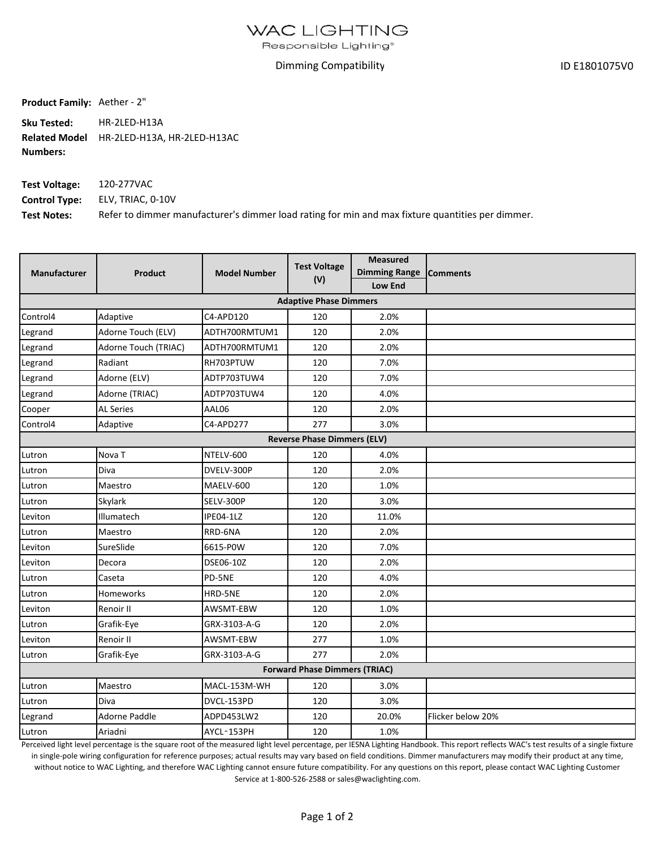Responsible Lighting<sup>®</sup>

## Dimming Compatibility

ID E1801075V0

**Product Family:** Aether ‐ 2"

**Sku Tested:** HR‐2LED‐H13A **Related Model** HR‐2LED‐H13A, HR‐2LED‐H13AC **Numbers:**

| <b>Test Voltage:</b> | 120-277VAC                                                                                       |
|----------------------|--------------------------------------------------------------------------------------------------|
|                      | <b>Control Type:</b> ELV, TRIAC, 0-10V                                                           |
| <b>Test Notes:</b>   | Refer to dimmer manufacturer's dimmer load rating for min and max fixture quantities per dimmer. |

| <b>Product</b>                       | <b>Model Number</b> | <b>Test Voltage</b><br>(V) | <b>Measured</b><br>Dimming Range Comments<br><b>Low End</b> |                               |  |  |  |  |  |
|--------------------------------------|---------------------|----------------------------|-------------------------------------------------------------|-------------------------------|--|--|--|--|--|
|                                      |                     |                            |                                                             |                               |  |  |  |  |  |
| Adaptive                             | C4-APD120           | 120                        | 2.0%                                                        |                               |  |  |  |  |  |
| Adorne Touch (ELV)                   | ADTH700RMTUM1       | 120                        | 2.0%                                                        |                               |  |  |  |  |  |
| Adorne Touch (TRIAC)                 | ADTH700RMTUM1       | 120                        | 2.0%                                                        |                               |  |  |  |  |  |
| Radiant                              | RH703PTUW           | 120                        | 7.0%                                                        |                               |  |  |  |  |  |
| Adorne (ELV)                         | ADTP703TUW4         | 120                        | 7.0%                                                        |                               |  |  |  |  |  |
| Adorne (TRIAC)                       | ADTP703TUW4         | 120                        | 4.0%                                                        |                               |  |  |  |  |  |
| <b>AL Series</b>                     | AAL06               | 120                        | 2.0%                                                        |                               |  |  |  |  |  |
| Adaptive                             | C4-APD277           | 277                        | 3.0%                                                        |                               |  |  |  |  |  |
| <b>Reverse Phase Dimmers (ELV)</b>   |                     |                            |                                                             |                               |  |  |  |  |  |
| Nova <sub>T</sub>                    | NTELV-600           | 120                        | 4.0%                                                        |                               |  |  |  |  |  |
| Diva                                 | DVELV-300P          | 120                        | 2.0%                                                        |                               |  |  |  |  |  |
| Maestro                              | MAELV-600           | 120                        | 1.0%                                                        |                               |  |  |  |  |  |
| Skylark                              | SELV-300P           | 120                        | 3.0%                                                        |                               |  |  |  |  |  |
| Illumatech                           | IPE04-1LZ           | 120                        | 11.0%                                                       |                               |  |  |  |  |  |
| Maestro                              | RRD-6NA             | 120                        | 2.0%                                                        |                               |  |  |  |  |  |
| SureSlide                            | 6615-P0W            | 120                        | 7.0%                                                        |                               |  |  |  |  |  |
| Decora                               | DSE06-10Z           | 120                        | 2.0%                                                        |                               |  |  |  |  |  |
| Caseta                               | PD-5NE              | 120                        | 4.0%                                                        |                               |  |  |  |  |  |
| Homeworks                            | HRD-5NE             | 120                        | 2.0%                                                        |                               |  |  |  |  |  |
| Renoir II                            | AWSMT-EBW           | 120                        | 1.0%                                                        |                               |  |  |  |  |  |
| Grafik-Eye                           | GRX-3103-A-G        | 120                        | 2.0%                                                        |                               |  |  |  |  |  |
| Renoir II                            | AWSMT-EBW           | 277                        | 1.0%                                                        |                               |  |  |  |  |  |
| Grafik-Eye                           | GRX-3103-A-G        | 277                        | 2.0%                                                        |                               |  |  |  |  |  |
| <b>Forward Phase Dimmers (TRIAC)</b> |                     |                            |                                                             |                               |  |  |  |  |  |
| Maestro                              | MACL-153M-WH        | 120                        | 3.0%                                                        |                               |  |  |  |  |  |
| Diva                                 | DVCL-153PD          | 120                        | 3.0%                                                        |                               |  |  |  |  |  |
| <b>Adorne Paddle</b>                 | ADPD453LW2          | 120                        | 20.0%                                                       | Flicker below 20%             |  |  |  |  |  |
| Ariadni                              | AYCL-153PH          | 120                        | 1.0%                                                        |                               |  |  |  |  |  |
|                                      |                     |                            |                                                             | <b>Adaptive Phase Dimmers</b> |  |  |  |  |  |

Perceived light level percentage is the square root of the measured light level percentage, per IESNA Lighting Handbook. This report reflects WAC's test results of a single fixture in single-pole wiring configuration for reference purposes; actual results may vary based on field conditions. Dimmer manufacturers may modify their product at any time, without notice to WAC Lighting, and therefore WAC Lighting cannot ensure future compatibility. For any questions on this report, please contact WAC Lighting Customer Service at 1‐800‐526‐2588 or sales@waclighting.com.